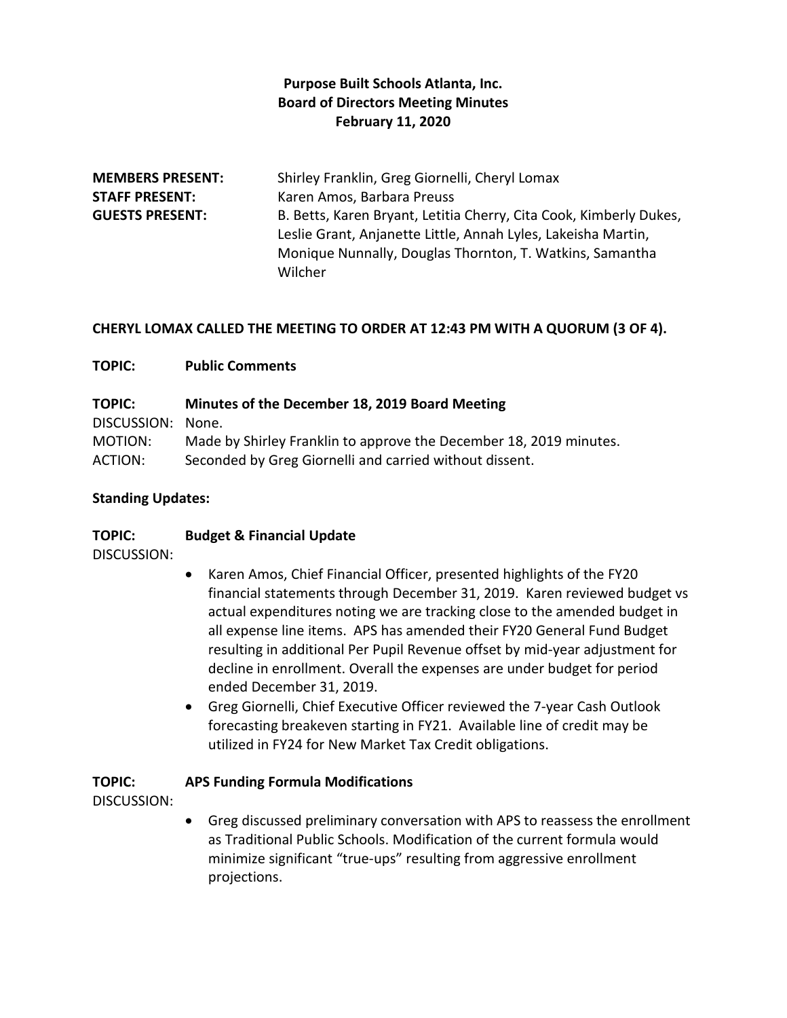## **Purpose Built Schools Atlanta, Inc. Board of Directors Meeting Minutes February 11, 2020**

| <b>MEMBERS PRESENT:</b> | Shirley Franklin, Greg Giornelli, Cheryl Lomax                     |
|-------------------------|--------------------------------------------------------------------|
| <b>STAFF PRESENT:</b>   | Karen Amos, Barbara Preuss                                         |
| <b>GUESTS PRESENT:</b>  | B. Betts, Karen Bryant, Letitia Cherry, Cita Cook, Kimberly Dukes, |
|                         | Leslie Grant, Anjanette Little, Annah Lyles, Lakeisha Martin,      |
|                         | Monique Nunnally, Douglas Thornton, T. Watkins, Samantha           |
|                         | Wilcher                                                            |

#### **CHERYL LOMAX CALLED THE MEETING TO ORDER AT 12:43 PM WITH A QUORUM (3 OF 4).**

#### **TOPIC: Public Comments**

| <b>TOPIC:</b>     | Minutes of the December 18, 2019 Board Meeting                     |
|-------------------|--------------------------------------------------------------------|
| DISCUSSION: None. |                                                                    |
| MOTION:           | Made by Shirley Franklin to approve the December 18, 2019 minutes. |
| ACTION:           | Seconded by Greg Giornelli and carried without dissent.            |

#### **Standing Updates:**

#### **TOPIC: Budget & Financial Update**

DISCUSSION:

- Karen Amos, Chief Financial Officer, presented highlights of the FY20 financial statements through December 31, 2019. Karen reviewed budget vs actual expenditures noting we are tracking close to the amended budget in all expense line items. APS has amended their FY20 General Fund Budget resulting in additional Per Pupil Revenue offset by mid-year adjustment for decline in enrollment. Overall the expenses are under budget for period ended December 31, 2019.
- Greg Giornelli, Chief Executive Officer reviewed the 7-year Cash Outlook forecasting breakeven starting in FY21. Available line of credit may be utilized in FY24 for New Market Tax Credit obligations.

#### **TOPIC: APS Funding Formula Modifications**

DISCUSSION:

 Greg discussed preliminary conversation with APS to reassess the enrollment as Traditional Public Schools. Modification of the current formula would minimize significant "true-ups" resulting from aggressive enrollment projections.